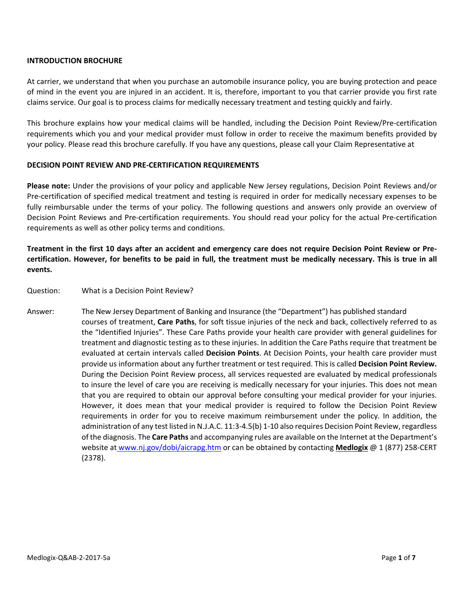## **INTRODUCTION BROCHURE**

At carrier, we understand that when you purchase an automobile insurance policy, you are buying protection and peace of mind in the event you are injured in an accident. It is, therefore, important to you that carrier provide you first rate claims service. Our goal is to process claims for medically necessary treatment and testing quickly and fairly.

This brochure explains how your medical claims will be handled, including the Decision Point Review/Pre‐certification requirements which you and your medical provider must follow in order to receive the maximum benefits provided by your policy. Please read this brochure carefully. If you have any questions, please call your Claim Representative at

## **DECISION POINT REVIEW AND PRE‐CERTIFICATION REQUIREMENTS**

**Please note:** Under the provisions of your policy and applicable New Jersey regulations, Decision Point Reviews and/or Pre‐certification of specified medical treatment and testing is required in order for medically necessary expenses to be fully reimbursable under the terms of your policy. The following questions and answers only provide an overview of Decision Point Reviews and Pre‐certification requirements. You should read your policy for the actual Pre‐certification requirements as well as other policy terms and conditions.

# Treatment in the first 10 days after an accident and emergency care does not require Decision Point Review or Precertification. However, for benefits to be paid in full, the treatment must be medically necessary. This is true in all **events.**

- Question: What is a Decision Point Review?
- Answer: The New Jersey Department of Banking and Insurance (the "Department") has published standard courses of treatment, **Care Paths**, for soft tissue injuries of the neck and back, collectively referred to as the "Identified Injuries". These Care Paths provide your health care provider with general guidelines for treatment and diagnostic testing as to these injuries. In addition the Care Paths require that treatment be evaluated at certain intervals called **Decision Points**. At Decision Points, your health care provider must provide us information about any further treatment or test required. This is called **Decision Point Review.** During the Decision Point Review process, all services requested are evaluated by medical professionals to insure the level of care you are receiving is medically necessary for your injuries. This does not mean that you are required to obtain our approval before consulting your medical provider for your injuries. However, it does mean that your medical provider is required to follow the Decision Point Review requirements in order for you to receive maximum reimbursement under the policy. In addition, the administration of any test listed in N.J.A.C. 11:3‐4.5(b) 1‐10 also requires Decision Point Review, regardless of the diagnosis. The **Care Paths** and accompanying rules are available on the Internet at the Department's website at www.nj.gov/dobi/aicrapg.htm or can be obtained by contacting **Medlogix** @ 1 (877) 258‐CERT (2378).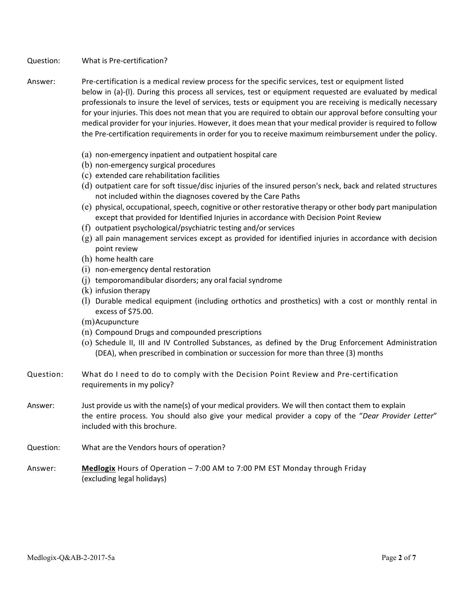## Question: What is Pre‐certification?

- Answer: Pre‐certification is a medical review process for the specific services, test or equipment listed below in (a)‐(l). During this process all services, test or equipment requested are evaluated by medical professionals to insure the level of services, tests or equipment you are receiving is medically necessary for your injuries. This does not mean that you are required to obtain our approval before consulting your medical provider for your injuries. However, it does mean that your medical provider is required to follow the Pre‐certification requirements in order for you to receive maximum reimbursement under the policy.
	- (a) non‐emergency inpatient and outpatient hospital care
	- (b) non‐emergency surgical procedures
	- (c) extended care rehabilitation facilities
	- (d) outpatient care for soft tissue/disc injuries of the insured person's neck, back and related structures not included within the diagnoses covered by the Care Paths
	- $(e)$  physical, occupational, speech, cognitive or other restorative therapy or other body part manipulation except that provided for Identified Injuries in accordance with Decision Point Review
	- (f) outpatient psychological/psychiatric testing and/or services
	- $(g)$  all pain management services except as provided for identified injuries in accordance with decision point review
	- (h) home health care
	- (i) non‐emergency dental restoration
	- (j) temporomandibular disorders; any oral facial syndrome
	- (k) infusion therapy
	- (l) Durable medical equipment (including orthotics and prosthetics) with a cost or monthly rental in excess of \$75.00.
	- (m)Acupuncture
	- (n) Compound Drugs and compounded prescriptions
	- (o) Schedule II, III and IV Controlled Substances, as defined by the Drug Enforcement Administration (DEA), when prescribed in combination or succession for more than three (3) months
- Question: What do I need to do to comply with the Decision Point Review and Pre-certification requirements in my policy?
- Answer: Just provide us with the name(s) of your medical providers. We will then contact them to explain the entire process. You should also give your medical provider a copy of the "*Dear Provider Letter*" included with this brochure.
- Question: What are the Vendors hours of operation?
- Answer: **Medlogix** Hours of Operation 7:00 AM to 7:00 PM EST Monday through Friday (excluding legal holidays)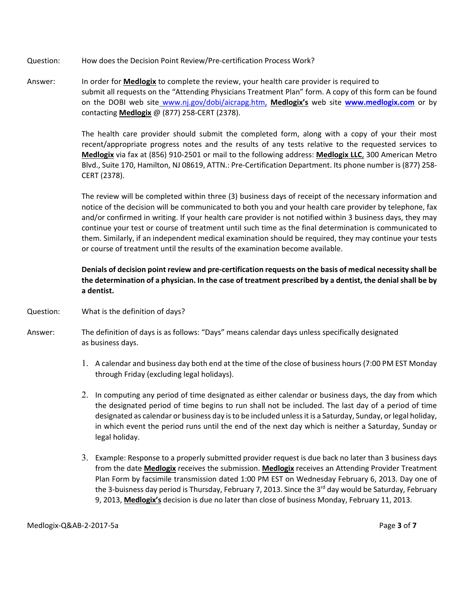- Question: How does the Decision Point Review/Pre‐certification Process Work?
- Answer: In order for **Medlogix** to complete the review, your health care provider is required to submit all requests on the "Attending Physicians Treatment Plan" form. A copy of this form can be found on the DOBI web site www.nj.gov/dobi/aicrapg.htm, **Medlogix's** web site **www.medlogix.com** or by contacting **Medlogix** @ (877) 258‐CERT (2378).

The health care provider should submit the completed form, along with a copy of your their most recent/appropriate progress notes and the results of any tests relative to the requested services to **Medlogix** via fax at (856) 910‐2501 or mail to the following address: **Medlogix LLC**, 300 American Metro Blvd., Suite 170, Hamilton, NJ 08619, ATTN.: Pre‐Certification Department. Its phone number is (877) 258‐ CERT (2378).

The review will be completed within three (3) business days of receipt of the necessary information and notice of the decision will be communicated to both you and your health care provider by telephone, fax and/or confirmed in writing. If your health care provider is not notified within 3 business days, they may continue your test or course of treatment until such time as the final determination is communicated to them. Similarly, if an independent medical examination should be required, they may continue your tests or course of treatment until the results of the examination become available.

Denials of decision point review and pre-certification requests on the basis of medical necessity shall be the determination of a physician. In the case of treatment prescribed by a dentist, the denial shall be by **a dentist.**

- Question: What is the definition of days?
- Answer: The definition of days is as follows: "Days" means calendar days unless specifically designated as business days.
	- 1. A calendar and business day both end at the time of the close of business hours (7:00 PM EST Monday through Friday (excluding legal holidays).
	- 2. In computing any period of time designated as either calendar or business days, the day from which the designated period of time begins to run shall not be included. The last day of a period of time designated as calendar or business day is to be included unless it is a Saturday, Sunday, or legal holiday, in which event the period runs until the end of the next day which is neither a Saturday, Sunday or legal holiday.
	- 3. Example: Response to a properly submitted provider request is due back no later than 3 business days from the date **Medlogix** receives the submission. **Medlogix** receives an Attending Provider Treatment Plan Form by facsimile transmission dated 1:00 PM EST on Wednesday February 6, 2013. Day one of the 3-buisness day period is Thursday, February 7, 2013. Since the 3<sup>rd</sup> day would be Saturday, February 9, 2013, **Medlogix's** decision is due no later than close of business Monday, February 11, 2013.

Medlogix‐Q&AB‐2‐2017‐5a Page **3** of **7**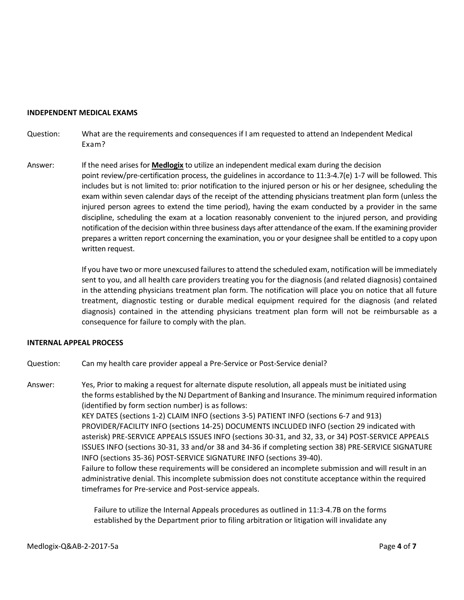#### **INDEPENDENT MEDICAL EXAMS**

- Question: What are the requirements and consequences if I am requested to attend an Independent Medical Exam?
- Answer: If the need arises for **Medlogix** to utilize an independent medical exam during the decision point review/pre‐certification process, the guidelines in accordance to 11:3‐4.7(e) 1‐7 will be followed. This includes but is not limited to: prior notification to the injured person or his or her designee, scheduling the exam within seven calendar days of the receipt of the attending physicians treatment plan form (unless the injured person agrees to extend the time period), having the exam conducted by a provider in the same discipline, scheduling the exam at a location reasonably convenient to the injured person, and providing notification of the decision within three business days after attendance of the exam. If the examining provider prepares a written report concerning the examination, you or your designee shall be entitled to a copy upon written request.

If you have two or more unexcused failuresto attend the scheduled exam, notification will be immediately sent to you, and all health care providers treating you for the diagnosis (and related diagnosis) contained in the attending physicians treatment plan form. The notification will place you on notice that all future treatment, diagnostic testing or durable medical equipment required for the diagnosis (and related diagnosis) contained in the attending physicians treatment plan form will not be reimbursable as a consequence for failure to comply with the plan.

### **INTERNAL APPEAL PROCESS**

Question: Can my health care provider appeal a Pre‐Service or Post‐Service denial?

Answer: Yes, Prior to making a request for alternate dispute resolution, all appeals must be initiated using the forms established by the NJ Department of Banking and Insurance. The minimum required information (identified by form section number) is as follows: KEY DATES (sections 1‐2) CLAIM INFO (sections 3‐5) PATIENT INFO (sections 6‐7 and 913) PROVIDER/FACILITY INFO (sections 14‐25) DOCUMENTS INCLUDED INFO (section 29 indicated with asterisk) PRE‐SERVICE APPEALS ISSUES INFO (sections 30‐31, and 32, 33, or 34) POST‐SERVICE APPEALS ISSUES INFO (sections 30‐31, 33 and/or 38 and 34‐36 if completing section 38) PRE‐SERVICE SIGNATURE INFO (sections 35‐36) POST‐SERVICE SIGNATURE INFO (sections 39‐40). Failure to follow these requirements will be considered an incomplete submission and will result in an administrative denial. This incomplete submission does not constitute acceptance within the required timeframes for Pre‐service and Post‐service appeals.

> Failure to utilize the Internal Appeals procedures as outlined in 11:3‐4.7B on the forms established by the Department prior to filing arbitration or litigation will invalidate any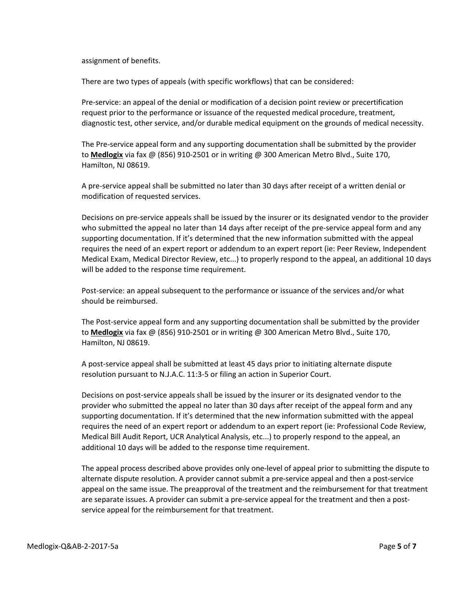assignment of benefits.

There are two types of appeals (with specific workflows) that can be considered:

Pre‐service: an appeal of the denial or modification of a decision point review or precertification request prior to the performance or issuance of the requested medical procedure, treatment, diagnostic test, other service, and/or durable medical equipment on the grounds of medical necessity.

The Pre‐service appeal form and any supporting documentation shall be submitted by the provider to **Medlogix** via fax @ (856) 910‐2501 or in writing @ 300 American Metro Blvd., Suite 170, Hamilton, NJ 08619.

A pre‐service appeal shall be submitted no later than 30 days after receipt of a written denial or modification of requested services.

Decisions on pre‐service appeals shall be issued by the insurer or its designated vendor to the provider who submitted the appeal no later than 14 days after receipt of the pre-service appeal form and any supporting documentation. If it's determined that the new information submitted with the appeal requires the need of an expert report or addendum to an expert report (ie: Peer Review, Independent Medical Exam, Medical Director Review, etc...) to properly respond to the appeal, an additional 10 days will be added to the response time requirement.

Post-service: an appeal subsequent to the performance or issuance of the services and/or what should be reimbursed.

The Post‐service appeal form and any supporting documentation shall be submitted by the provider to **Medlogix** via fax @ (856) 910‐2501 or in writing @ 300 American Metro Blvd., Suite 170, Hamilton, NJ 08619.

A post‐service appeal shall be submitted at least 45 days prior to initiating alternate dispute resolution pursuant to N.J.A.C. 11:3‐5 or filing an action in Superior Court.

Decisions on post‐service appeals shall be issued by the insurer or its designated vendor to the provider who submitted the appeal no later than 30 days after receipt of the appeal form and any supporting documentation. If it's determined that the new information submitted with the appeal requires the need of an expert report or addendum to an expert report (ie: Professional Code Review, Medical Bill Audit Report, UCR Analytical Analysis, etc...) to properly respond to the appeal, an additional 10 days will be added to the response time requirement.

The appeal process described above provides only one‐level of appeal prior to submitting the dispute to alternate dispute resolution. A provider cannot submit a pre‐service appeal and then a post‐service appeal on the same issue. The preapproval of the treatment and the reimbursement for that treatment are separate issues. A provider can submit a pre-service appeal for the treatment and then a postservice appeal for the reimbursement for that treatment.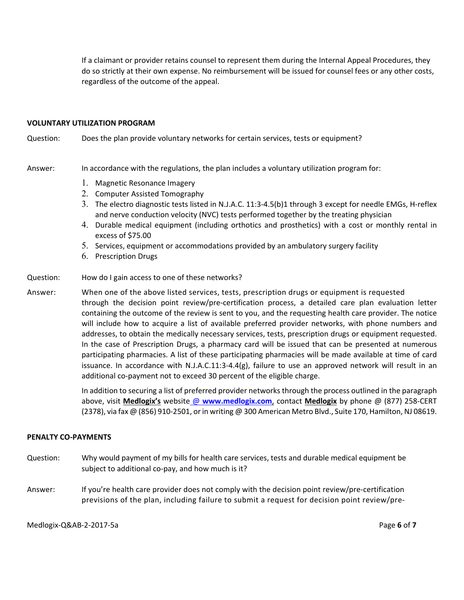If a claimant or provider retains counsel to represent them during the Internal Appeal Procedures, they do so strictly at their own expense. No reimbursement will be issued for counsel fees or any other costs, regardless of the outcome of the appeal.

#### **VOLUNTARY UTILIZATION PROGRAM**

Question: Does the plan provide voluntary networks for certain services, tests or equipment?

Answer: In accordance with the regulations, the plan includes a voluntary utilization program for:

- 1. Magnetic Resonance Imagery
- 2. Computer Assisted Tomography
- 3. The electro diagnostic tests listed in N.J.A.C. 11:3-4.5(b)1 through 3 except for needle EMGs, H-reflex and nerve conduction velocity (NVC) tests performed together by the treating physician
- 4. Durable medical equipment (including orthotics and prosthetics) with a cost or monthly rental in excess of \$75.00
- 5. Services, equipment or accommodations provided by an ambulatory surgery facility
- 6. Prescription Drugs
- Question: How do I gain access to one of these networks?
- Answer: When one of the above listed services, tests, prescription drugs or equipment is requested through the decision point review/pre‐certification process, a detailed care plan evaluation letter containing the outcome of the review is sent to you, and the requesting health care provider. The notice will include how to acquire a list of available preferred provider networks, with phone numbers and addresses, to obtain the medically necessary services, tests, prescription drugs or equipment requested. In the case of Prescription Drugs, a pharmacy card will be issued that can be presented at numerous participating pharmacies. A list of these participating pharmacies will be made available at time of card issuance. In accordance with N.J.A.C.11:3-4.4(g), failure to use an approved network will result in an additional co‐payment not to exceed 30 percent of the eligible charge.

In addition to securing a list of preferred provider networks through the process outlined in the paragraph above, visit **Medlogix's** website @ **www.medlogix.com**, contact **Medlogix** by phone @ (877) 258‐CERT (2378), via fax @ (856) 910‐2501, orin writing @ 300 American Metro Blvd., Suite 170, Hamilton, NJ 08619.

### **PENALTY CO‐PAYMENTS**

- Question: Why would payment of my bills for health care services, tests and durable medical equipment be subject to additional co-pay, and how much is it?
- Answer: If you're health care provider does not comply with the decision point review/pre‐certification previsions of the plan, including failure to submit a request for decision point review/pre‐

Medlogix‐Q&AB‐2‐2017‐5a Page **6** of **7**